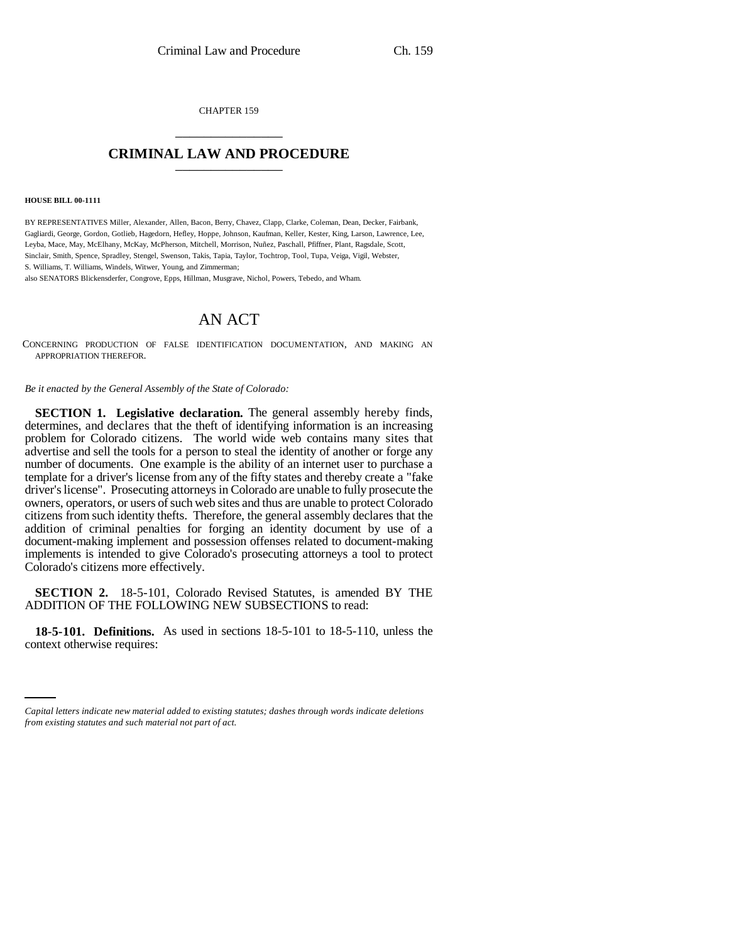CHAPTER 159 \_\_\_\_\_\_\_\_\_\_\_\_\_\_\_

## **CRIMINAL LAW AND PROCEDURE** \_\_\_\_\_\_\_\_\_\_\_\_\_\_\_

## **HOUSE BILL 00-1111**

BY REPRESENTATIVES Miller, Alexander, Allen, Bacon, Berry, Chavez, Clapp, Clarke, Coleman, Dean, Decker, Fairbank, Gagliardi, George, Gordon, Gotlieb, Hagedorn, Hefley, Hoppe, Johnson, Kaufman, Keller, Kester, King, Larson, Lawrence, Lee, Leyba, Mace, May, McElhany, McKay, McPherson, Mitchell, Morrison, Nuñez, Paschall, Pfiffner, Plant, Ragsdale, Scott, Sinclair, Smith, Spence, Spradley, Stengel, Swenson, Takis, Tapia, Taylor, Tochtrop, Tool, Tupa, Veiga, Vigil, Webster, S. Williams, T. Williams, Windels, Witwer, Young, and Zimmerman;

also SENATORS Blickensderfer, Congrove, Epps, Hillman, Musgrave, Nichol, Powers, Tebedo, and Wham.

## AN ACT

CONCERNING PRODUCTION OF FALSE IDENTIFICATION DOCUMENTATION, AND MAKING AN APPROPRIATION THEREFOR.

*Be it enacted by the General Assembly of the State of Colorado:*

**SECTION 1. Legislative declaration.** The general assembly hereby finds, determines, and declares that the theft of identifying information is an increasing problem for Colorado citizens. The world wide web contains many sites that advertise and sell the tools for a person to steal the identity of another or forge any number of documents. One example is the ability of an internet user to purchase a template for a driver's license from any of the fifty states and thereby create a "fake driver's license". Prosecuting attorneys in Colorado are unable to fully prosecute the owners, operators, or users of such web sites and thus are unable to protect Colorado citizens from such identity thefts. Therefore, the general assembly declares that the addition of criminal penalties for forging an identity document by use of a document-making implement and possession offenses related to document-making implements is intended to give Colorado's prosecuting attorneys a tool to protect Colorado's citizens more effectively.

**SECTION 2.** 18-5-101, Colorado Revised Statutes, is amended BY THE ADDITION OF THE FOLLOWING NEW SUBSECTIONS to read:

18-5-101. Definitions.<br>context otherwise requires: **18-5-101. Definitions.** As used in sections 18-5-101 to 18-5-110, unless the

*Capital letters indicate new material added to existing statutes; dashes through words indicate deletions from existing statutes and such material not part of act.*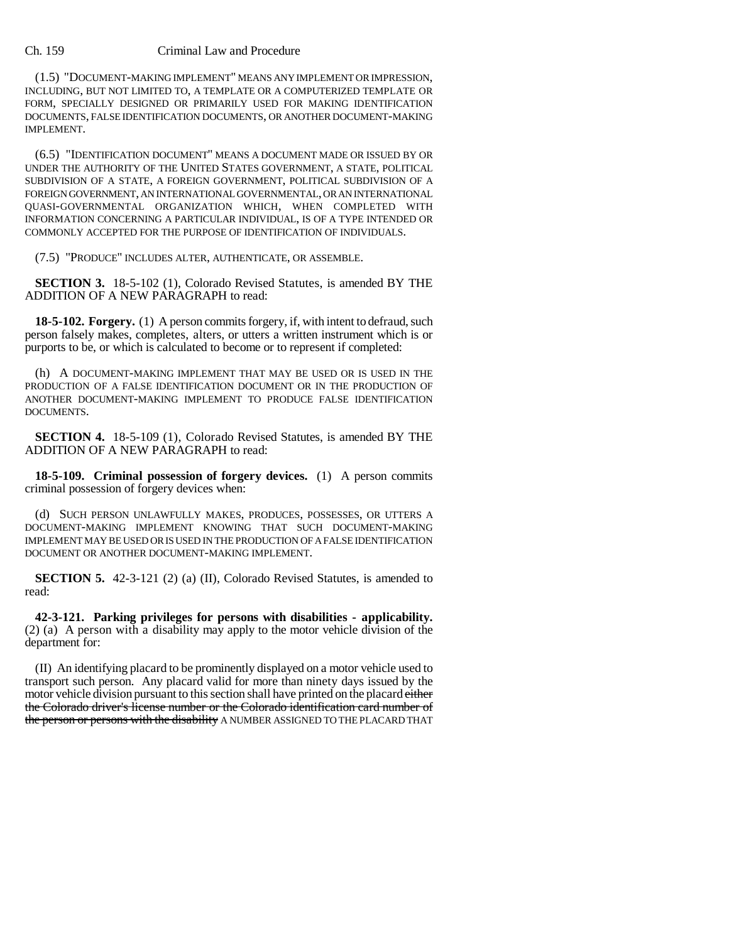## Ch. 159 Criminal Law and Procedure

(1.5) "DOCUMENT-MAKING IMPLEMENT" MEANS ANY IMPLEMENT OR IMPRESSION, INCLUDING, BUT NOT LIMITED TO, A TEMPLATE OR A COMPUTERIZED TEMPLATE OR FORM, SPECIALLY DESIGNED OR PRIMARILY USED FOR MAKING IDENTIFICATION DOCUMENTS, FALSE IDENTIFICATION DOCUMENTS, OR ANOTHER DOCUMENT-MAKING IMPLEMENT.

(6.5) "IDENTIFICATION DOCUMENT'' MEANS A DOCUMENT MADE OR ISSUED BY OR UNDER THE AUTHORITY OF THE UNITED STATES GOVERNMENT, A STATE, POLITICAL SUBDIVISION OF A STATE, A FOREIGN GOVERNMENT, POLITICAL SUBDIVISION OF A FOREIGN GOVERNMENT, AN INTERNATIONAL GOVERNMENTAL, OR AN INTERNATIONAL QUASI-GOVERNMENTAL ORGANIZATION WHICH, WHEN COMPLETED WITH INFORMATION CONCERNING A PARTICULAR INDIVIDUAL, IS OF A TYPE INTENDED OR COMMONLY ACCEPTED FOR THE PURPOSE OF IDENTIFICATION OF INDIVIDUALS.

(7.5) ''PRODUCE'' INCLUDES ALTER, AUTHENTICATE, OR ASSEMBLE.

**SECTION 3.** 18-5-102 (1), Colorado Revised Statutes, is amended BY THE ADDITION OF A NEW PARAGRAPH to read:

**18-5-102. Forgery.** (1) A person commits forgery, if, with intent to defraud, such person falsely makes, completes, alters, or utters a written instrument which is or purports to be, or which is calculated to become or to represent if completed:

(h) A DOCUMENT-MAKING IMPLEMENT THAT MAY BE USED OR IS USED IN THE PRODUCTION OF A FALSE IDENTIFICATION DOCUMENT OR IN THE PRODUCTION OF ANOTHER DOCUMENT-MAKING IMPLEMENT TO PRODUCE FALSE IDENTIFICATION DOCUMENTS.

**SECTION 4.** 18-5-109 (1), Colorado Revised Statutes, is amended BY THE ADDITION OF A NEW PARAGRAPH to read:

**18-5-109. Criminal possession of forgery devices.** (1) A person commits criminal possession of forgery devices when:

(d) SUCH PERSON UNLAWFULLY MAKES, PRODUCES, POSSESSES, OR UTTERS A DOCUMENT-MAKING IMPLEMENT KNOWING THAT SUCH DOCUMENT-MAKING IMPLEMENT MAY BE USED OR IS USED IN THE PRODUCTION OF A FALSE IDENTIFICATION DOCUMENT OR ANOTHER DOCUMENT-MAKING IMPLEMENT.

**SECTION 5.** 42-3-121 (2) (a) (II), Colorado Revised Statutes, is amended to read:

**42-3-121. Parking privileges for persons with disabilities - applicability.** (2) (a) A person with a disability may apply to the motor vehicle division of the department for:

(II) An identifying placard to be prominently displayed on a motor vehicle used to transport such person. Any placard valid for more than ninety days issued by the motor vehicle division pursuant to this section shall have printed on the placard either the Colorado driver's license number or the Colorado identification card number of the person or persons with the disability A NUMBER ASSIGNED TO THE PLACARD THAT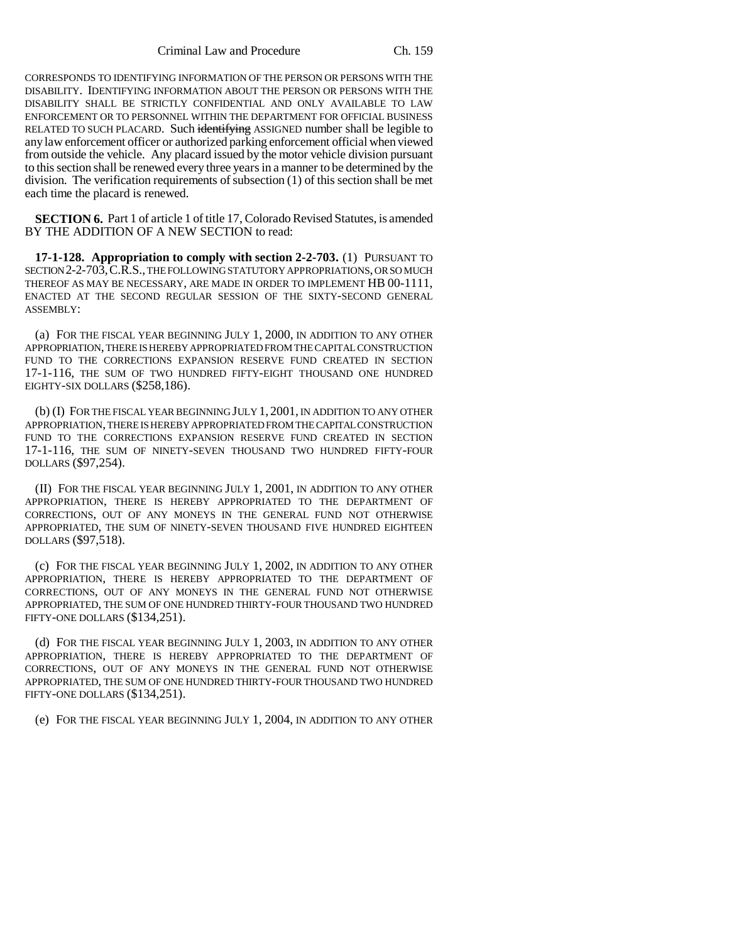Criminal Law and Procedure Ch. 159

CORRESPONDS TO IDENTIFYING INFORMATION OF THE PERSON OR PERSONS WITH THE DISABILITY. IDENTIFYING INFORMATION ABOUT THE PERSON OR PERSONS WITH THE DISABILITY SHALL BE STRICTLY CONFIDENTIAL AND ONLY AVAILABLE TO LAW ENFORCEMENT OR TO PERSONNEL WITHIN THE DEPARTMENT FOR OFFICIAL BUSINESS RELATED TO SUCH PLACARD. Such identifying ASSIGNED number shall be legible to any law enforcement officer or authorized parking enforcement official when viewed from outside the vehicle. Any placard issued by the motor vehicle division pursuant to this section shall be renewed every three years in a manner to be determined by the division. The verification requirements of subsection (1) of this section shall be met each time the placard is renewed.

**SECTION 6.** Part 1 of article 1 of title 17, Colorado Revised Statutes, is amended BY THE ADDITION OF A NEW SECTION to read:

**17-1-128. Appropriation to comply with section 2-2-703.** (1) PURSUANT TO SECTION 2-2-703,C.R.S., THE FOLLOWING STATUTORY APPROPRIATIONS, OR SO MUCH THEREOF AS MAY BE NECESSARY, ARE MADE IN ORDER TO IMPLEMENT HB 00-1111, ENACTED AT THE SECOND REGULAR SESSION OF THE SIXTY-SECOND GENERAL ASSEMBLY:

(a) FOR THE FISCAL YEAR BEGINNING JULY 1, 2000, IN ADDITION TO ANY OTHER APPROPRIATION, THERE IS HEREBY APPROPRIATED FROM THE CAPITAL CONSTRUCTION FUND TO THE CORRECTIONS EXPANSION RESERVE FUND CREATED IN SECTION 17-1-116, THE SUM OF TWO HUNDRED FIFTY-EIGHT THOUSAND ONE HUNDRED EIGHTY-SIX DOLLARS (\$258,186).

(b) (I) FOR THE FISCAL YEAR BEGINNING JULY 1, 2001, IN ADDITION TO ANY OTHER APPROPRIATION, THERE IS HEREBY APPROPRIATED FROM THE CAPITAL CONSTRUCTION FUND TO THE CORRECTIONS EXPANSION RESERVE FUND CREATED IN SECTION 17-1-116, THE SUM OF NINETY-SEVEN THOUSAND TWO HUNDRED FIFTY-FOUR DOLLARS (\$97,254).

(II) FOR THE FISCAL YEAR BEGINNING JULY 1, 2001, IN ADDITION TO ANY OTHER APPROPRIATION, THERE IS HEREBY APPROPRIATED TO THE DEPARTMENT OF CORRECTIONS, OUT OF ANY MONEYS IN THE GENERAL FUND NOT OTHERWISE APPROPRIATED, THE SUM OF NINETY-SEVEN THOUSAND FIVE HUNDRED EIGHTEEN DOLLARS (\$97,518).

(c) FOR THE FISCAL YEAR BEGINNING JULY 1, 2002, IN ADDITION TO ANY OTHER APPROPRIATION, THERE IS HEREBY APPROPRIATED TO THE DEPARTMENT OF CORRECTIONS, OUT OF ANY MONEYS IN THE GENERAL FUND NOT OTHERWISE APPROPRIATED, THE SUM OF ONE HUNDRED THIRTY-FOUR THOUSAND TWO HUNDRED FIFTY-ONE DOLLARS (\$134,251).

(d) FOR THE FISCAL YEAR BEGINNING JULY 1, 2003, IN ADDITION TO ANY OTHER APPROPRIATION, THERE IS HEREBY APPROPRIATED TO THE DEPARTMENT OF CORRECTIONS, OUT OF ANY MONEYS IN THE GENERAL FUND NOT OTHERWISE APPROPRIATED, THE SUM OF ONE HUNDRED THIRTY-FOUR THOUSAND TWO HUNDRED FIFTY-ONE DOLLARS (\$134,251).

(e) FOR THE FISCAL YEAR BEGINNING JULY 1, 2004, IN ADDITION TO ANY OTHER